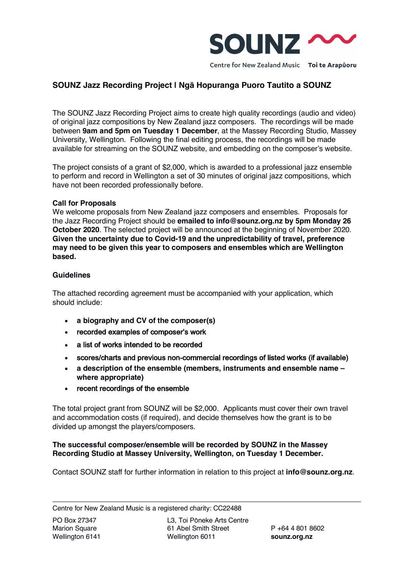

# **SOUNZ Jazz Recording Project | Ngā Hopuranga Puoro Tautito a SOUNZ**

The SOUNZ Jazz Recording Project aims to create high quality recordings (audio and video) of original jazz compositions by New Zealand jazz composers. The recordings will be made between **9am and 5pm on Tuesday 1 December**, at the Massey Recording Studio, Massey University, Wellington. Following the final editing process, the recordings will be made available for streaming on the SOUNZ website, and embedding on the composer's website.

The project consists of a grant of \$2,000, which is awarded to a professional jazz ensemble to perform and record in Wellington a set of 30 minutes of original jazz compositions, which have not been recorded professionally before.

## **Call for Proposals**

We welcome proposals from New Zealand jazz composers and ensembles. Proposals for the Jazz Recording Project should be **emailed to info@sounz.org.nz by 5pm Monday 26 October 2020**. The selected project will be announced at the beginning of November 2020. **Given the uncertainty due to Covid-19 and the unpredictability of travel, preference may need to be given this year to composers and ensembles which are Wellington based.**

#### **Guidelines**

The attached recording agreement must be accompanied with your application, which should include:

- **a biography and CV of the composer(s)**
- recorded examples of composer's work
- a list of works intended to be recorded
- scores/charts and previous non-commercial recordings of listed works (if available)
- **a description of the ensemble (members, instruments and ensemble name – where appropriate)**
- recent recordings of the ensemble

The total project grant from SOUNZ will be \$2,000. Applicants must cover their own travel and accommodation costs (if required), and decide themselves how the grant is to be divided up amongst the players/composers.

## **The successful composer/ensemble will be recorded by SOUNZ in the Massey Recording Studio at Massey University, Wellington, on Tuesday 1 December.**

Contact SOUNZ staff for further information in relation to this project at **info@sounz.org.nz**.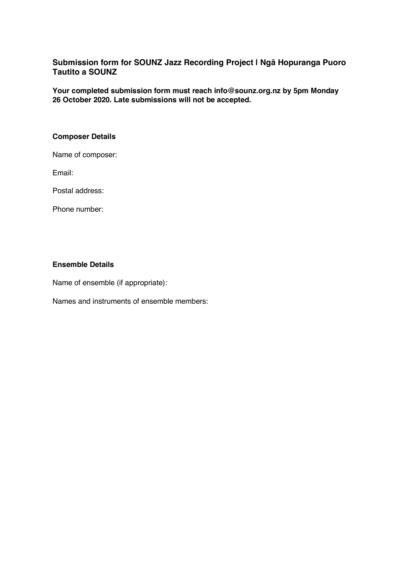## **Submission form for SOUNZ Jazz Recording Project | Ngā Hopuranga Puoro Tautito a SOUNZ**

**Your completed submission form must reach info@sounz.org.nz by 5pm Monday 26 October 2020. Late submissions will not be accepted.**

### **Composer Details**

Name of composer:

Email:

Postal address:

Phone number:

## **Ensemble Details**

Name of ensemble (if appropriate):

Names and instruments of ensemble members: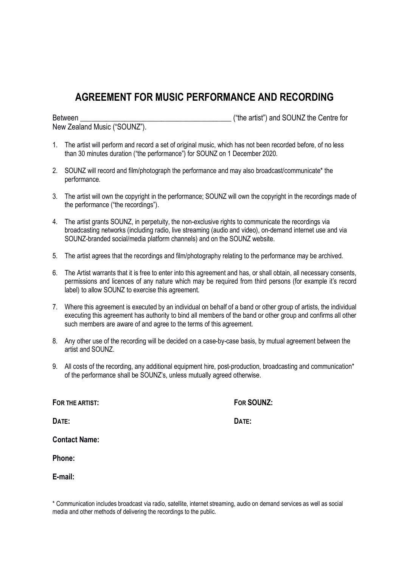# **AGREEMENT FOR MUSIC PERFORMANCE AND RECORDING**

| Between                      | ("the artist") and SOUNZ the Centre for |
|------------------------------|-----------------------------------------|
| New Zealand Music ("SOUNZ"). |                                         |

- 1. The artist will perform and record a set of original music, which has not been recorded before, of no less than 30 minutes duration ("the performance") for SOUNZ on 1 December 2020.
- 2. SOUNZ will record and film/photograph the performance and may also broadcast/communicate\* the performance.
- 3. The artist will own the copyright in the performance; SOUNZ will own the copyright in the recordings made of the performance ("the recordings").
- 4. The artist grants SOUNZ, in perpetuity, the non-exclusive rights to communicate the recordings via broadcasting networks (including radio, live streaming (audio and video), on-demand internet use and via SOUNZ-branded social/media platform channels) and on the SOUNZ website.
- 5. The artist agrees that the recordings and film/photography relating to the performance may be archived.
- 6. The Artist warrants that it is free to enter into this agreement and has, or shall obtain, all necessary consents, permissions and licences of any nature which may be required from third persons (for example it's record label) to allow SOUNZ to exercise this agreement.
- 7. Where this agreement is executed by an individual on behalf of a band or other group of artists, the individual executing this agreement has authority to bind all members of the band or other group and confirms all other such members are aware of and agree to the terms of this agreement.
- 8. Any other use of the recording will be decided on a case-by-case basis, by mutual agreement between the artist and SOUNZ.
- 9. All costs of the recording, any additional equipment hire, post-production, broadcasting and communication\* of the performance shall be SOUNZ's, unless mutually agreed otherwise.

**FOR THE ARTIST: FOR SOUNZ:**

**DATE: DATE:**

**Contact Name:**

**Phone:**

**E-mail:**

\* Communication includes broadcast via radio, satellite, internet streaming, audio on demand services as well as social media and other methods of delivering the recordings to the public.